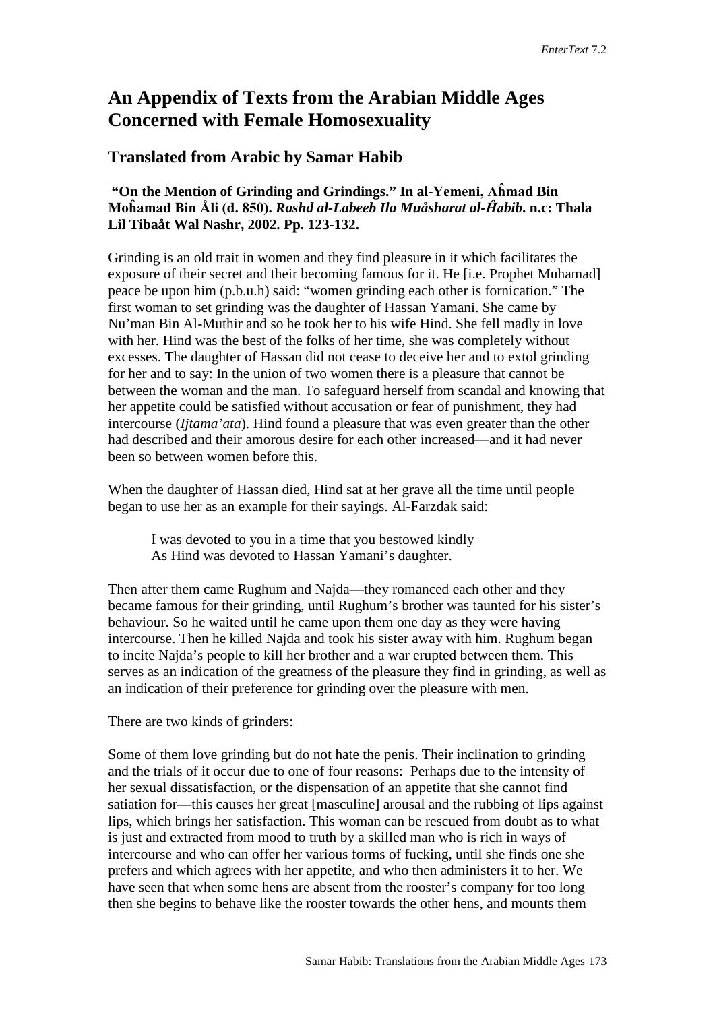# **An Appendix of Texts from the Arabian Middle Ages Concerned with Female Homosexuality**

# **Translated from Arabic by Samar Habib**

# **"On the Mention of Grinding and Grindings." In al-Yemeni, Aĥmad Bin Moĥamad Bin Åli (d. 850).** *Rashd al-Labeeb Ila Muåsharat al-Ĥabib***. n.c: Thala Lil Tibaåt Wal Nashr, 2002. Pp. 123-132.**

Grinding is an old trait in women and they find pleasure in it which facilitates the exposure of their secret and their becoming famous for it. He [i.e. Prophet Muhamad] peace be upon him (p.b.u.h) said: "women grinding each other is fornication." The first woman to set grinding was the daughter of Hassan Yamani. She came by Nu'man Bin Al-Muthir and so he took her to his wife Hind. She fell madly in love with her. Hind was the best of the folks of her time, she was completely without excesses. The daughter of Hassan did not cease to deceive her and to extol grinding for her and to say: In the union of two women there is a pleasure that cannot be between the woman and the man. To safeguard herself from scandal and knowing that her appetite could be satisfied without accusation or fear of punishment, they had intercourse (*Ijtama'ata*). Hind found a pleasure that was even greater than the other had described and their amorous desire for each other increased—and it had never been so between women before this.

When the daughter of Hassan died, Hind sat at her grave all the time until people began to use her as an example for their sayings. Al-Farzdak said:

I was devoted to you in a time that you bestowed kindly As Hind was devoted to Hassan Yamani's daughter.

Then after them came Rughum and Najda—they romanced each other and they became famous for their grinding, until Rughum's brother was taunted for his sister's behaviour. So he waited until he came upon them one day as they were having intercourse. Then he killed Najda and took his sister away with him. Rughum began to incite Najda's people to kill her brother and a war erupted between them. This serves as an indication of the greatness of the pleasure they find in grinding, as well as an indication of their preference for grinding over the pleasure with men.

#### There are two kinds of grinders:

Some of them love grinding but do not hate the penis. Their inclination to grinding and the trials of it occur due to one of four reasons: Perhaps due to the intensity of her sexual dissatisfaction, or the dispensation of an appetite that she cannot find satiation for—this causes her great [masculine] arousal and the rubbing of lips against lips, which brings her satisfaction. This woman can be rescued from doubt as to what is just and extracted from mood to truth by a skilled man who is rich in ways of intercourse and who can offer her various forms of fucking, until she finds one she prefers and which agrees with her appetite, and who then administers it to her. We have seen that when some hens are absent from the rooster's company for too long then she begins to behave like the rooster towards the other hens, and mounts them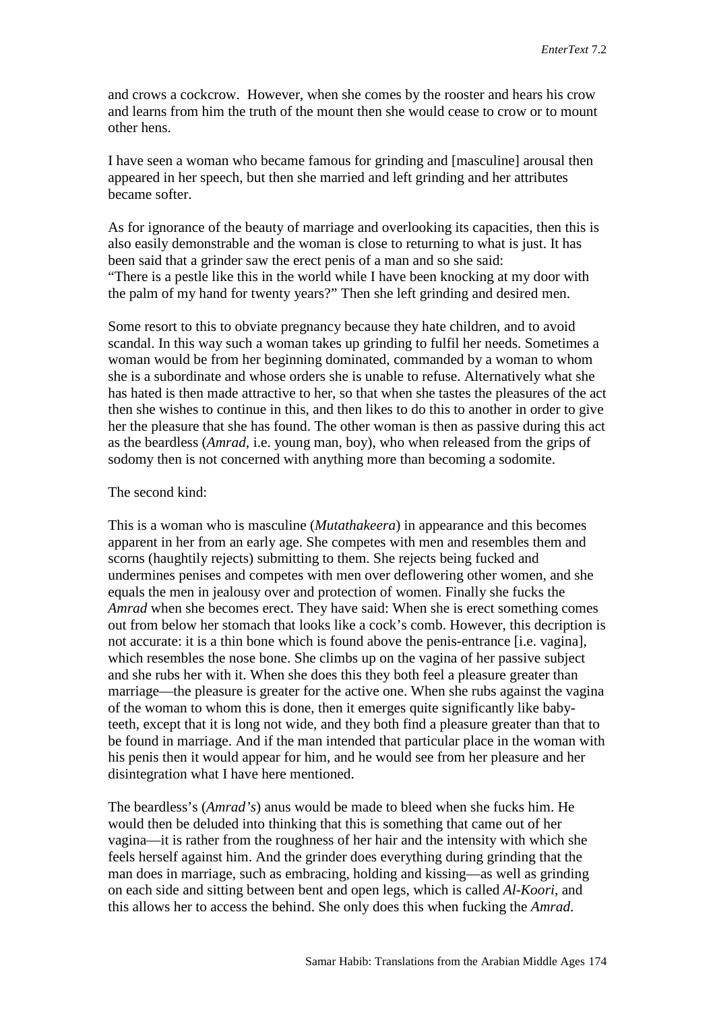and crows a cockcrow. However, when she comes by the rooster and hears his crow and learns from him the truth of the mount then she would cease to crow or to mount other hens.

I have seen a woman who became famous for grinding and [masculine] arousal then appeared in her speech, but then she married and left grinding and her attributes became softer.

As for ignorance of the beauty of marriage and overlooking its capacities, then this is also easily demonstrable and the woman is close to returning to what is just. It has been said that a grinder saw the erect penis of a man and so she said: "There is a pestle like this in the world while I have been knocking at my door with the palm of my hand for twenty years?" Then she left grinding and desired men.

Some resort to this to obviate pregnancy because they hate children, and to avoid scandal. In this way such a woman takes up grinding to fulfil her needs. Sometimes a woman would be from her beginning dominated, commanded by a woman to whom she is a subordinate and whose orders she is unable to refuse. Alternatively what she has hated is then made attractive to her, so that when she tastes the pleasures of the act then she wishes to continue in this, and then likes to do this to another in order to give her the pleasure that she has found. The other woman is then as passive during this act as the beardless (*Amrad,* i.e. young man, boy), who when released from the grips of sodomy then is not concerned with anything more than becoming a sodomite.

#### The second kind:

This is a woman who is masculine (*Mutathakeera*) in appearance and this becomes apparent in her from an early age. She competes with men and resembles them and scorns (haughtily rejects) submitting to them. She rejects being fucked and undermines penises and competes with men over deflowering other women, and she equals the men in jealousy over and protection of women. Finally she fucks the *Amrad* when she becomes erect. They have said: When she is erect something comes out from below her stomach that looks like a cock's comb. However, this decription is not accurate: it is a thin bone which is found above the penis-entrance [i.e. vagina], which resembles the nose bone. She climbs up on the vagina of her passive subject and she rubs her with it. When she does this they both feel a pleasure greater than marriage—the pleasure is greater for the active one. When she rubs against the vagina of the woman to whom this is done, then it emerges quite significantly like babyteeth, except that it is long not wide, and they both find a pleasure greater than that to be found in marriage. And if the man intended that particular place in the woman with his penis then it would appear for him, and he would see from her pleasure and her disintegration what I have here mentioned.

The beardless's (*Amrad's*) anus would be made to bleed when she fucks him. He would then be deluded into thinking that this is something that came out of her vagina—it is rather from the roughness of her hair and the intensity with which she feels herself against him. And the grinder does everything during grinding that the man does in marriage, such as embracing, holding and kissing—as well as grinding on each side and sitting between bent and open legs, which is called *Al-Koori*, and this allows her to access the behind. She only does this when fucking the *Amrad*.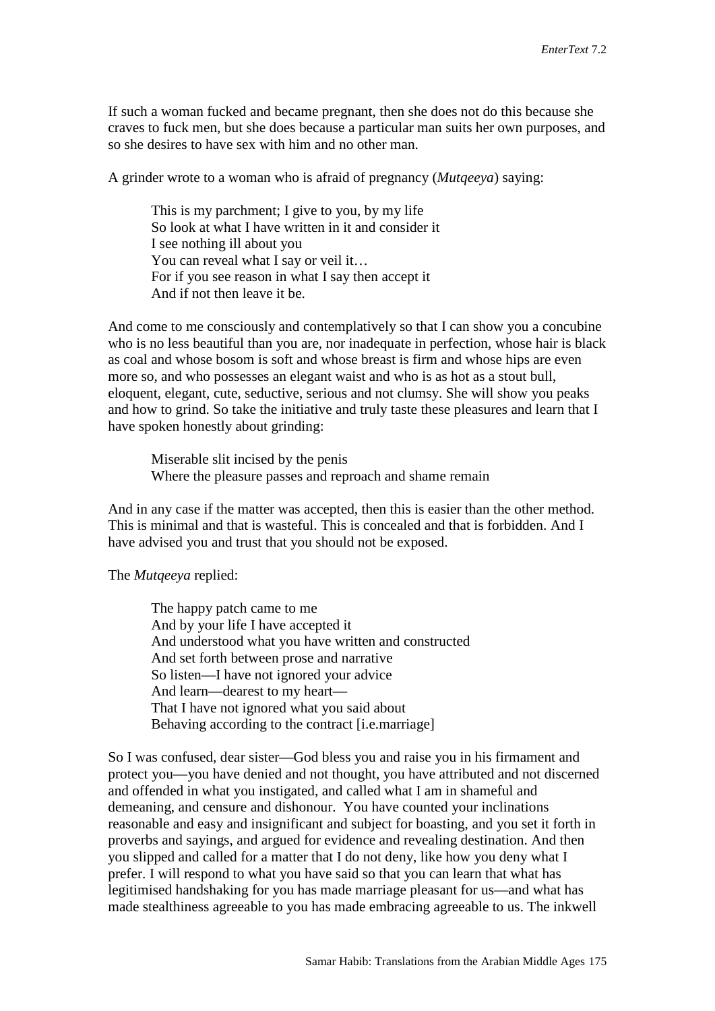If such a woman fucked and became pregnant, then she does not do this because she craves to fuck men, but she does because a particular man suits her own purposes, and so she desires to have sex with him and no other man.

A grinder wrote to a woman who is afraid of pregnancy (*Mutqeeya*) saying:

This is my parchment; I give to you, by my life So look at what I have written in it and consider it I see nothing ill about you You can reveal what I say or veil it... For if you see reason in what I say then accept it And if not then leave it be.

And come to me consciously and contemplatively so that I can show you a concubine who is no less beautiful than you are, nor inadequate in perfection, whose hair is black as coal and whose bosom is soft and whose breast is firm and whose hips are even more so, and who possesses an elegant waist and who is as hot as a stout bull, eloquent, elegant, cute, seductive, serious and not clumsy. She will show you peaks and how to grind. So take the initiative and truly taste these pleasures and learn that I have spoken honestly about grinding:

Miserable slit incised by the penis Where the pleasure passes and reproach and shame remain

And in any case if the matter was accepted, then this is easier than the other method. This is minimal and that is wasteful. This is concealed and that is forbidden. And I have advised you and trust that you should not be exposed.

The *Mutqeeya* replied:

The happy patch came to me And by your life I have accepted it And understood what you have written and constructed And set forth between prose and narrative So listen—I have not ignored your advice And learn—dearest to my heart— That I have not ignored what you said about Behaving according to the contract [i.e.marriage]

So I was confused, dear sister—God bless you and raise you in his firmament and protect you—you have denied and not thought, you have attributed and not discerned and offended in what you instigated, and called what I am in shameful and demeaning, and censure and dishonour. You have counted your inclinations reasonable and easy and insignificant and subject for boasting, and you set it forth in proverbs and sayings, and argued for evidence and revealing destination. And then you slipped and called for a matter that I do not deny, like how you deny what I prefer. I will respond to what you have said so that you can learn that what has legitimised handshaking for you has made marriage pleasant for us—and what has made stealthiness agreeable to you has made embracing agreeable to us. The inkwell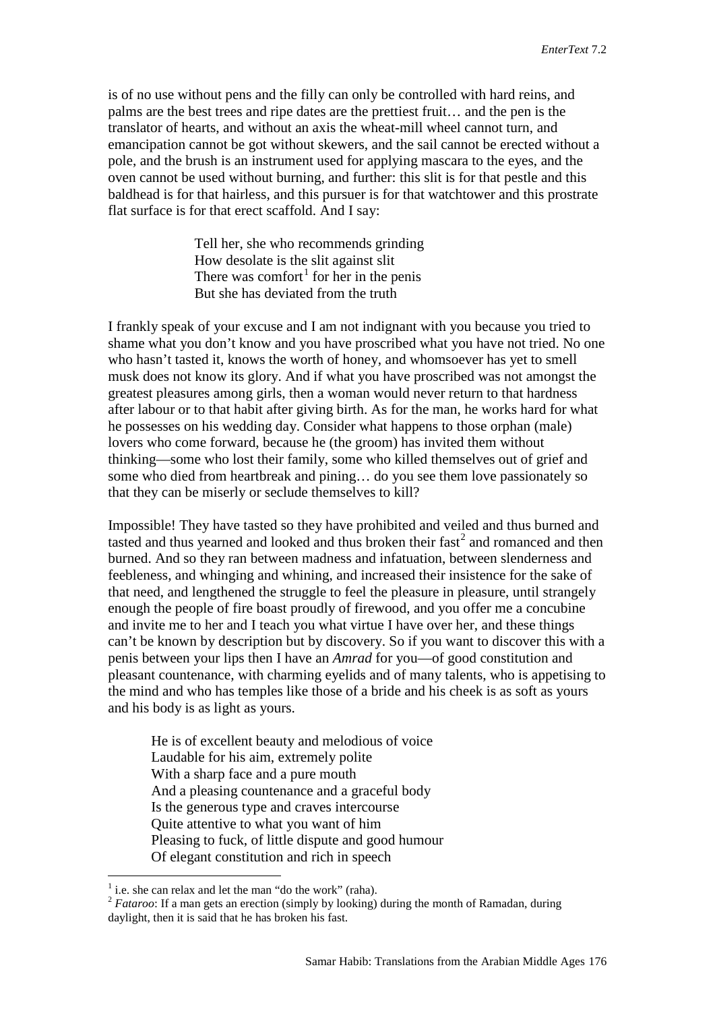is of no use without pens and the filly can only be controlled with hard reins, and palms are the best trees and ripe dates are the prettiest fruit… and the pen is the translator of hearts, and without an axis the wheat-mill wheel cannot turn, and emancipation cannot be got without skewers, and the sail cannot be erected without a pole, and the brush is an instrument used for applying mascara to the eyes, and the oven cannot be used without burning, and further: this slit is for that pestle and this baldhead is for that hairless, and this pursuer is for that watchtower and this prostrate flat surface is for that erect scaffold. And I say:

> Tell her, she who recommends grinding How desolate is the slit against slit There was comfort<sup>[1](#page-3-0)</sup> for her in the penis But she has deviated from the truth

I frankly speak of your excuse and I am not indignant with you because you tried to shame what you don't know and you have proscribed what you have not tried. No one who hasn't tasted it, knows the worth of honey, and whomsoever has yet to smell musk does not know its glory. And if what you have proscribed was not amongst the greatest pleasures among girls, then a woman would never return to that hardness after labour or to that habit after giving birth. As for the man, he works hard for what he possesses on his wedding day. Consider what happens to those orphan (male) lovers who come forward, because he (the groom) has invited them without thinking—some who lost their family, some who killed themselves out of grief and some who died from heartbreak and pining… do you see them love passionately so that they can be miserly or seclude themselves to kill?

Impossible! They have tasted so they have prohibited and veiled and thus burned and tasted and thus yearned and looked and thus broken their  $\text{fast}^2$  $\text{fast}^2$  and romanced and then burned. And so they ran between madness and infatuation, between slenderness and feebleness, and whinging and whining, and increased their insistence for the sake of that need, and lengthened the struggle to feel the pleasure in pleasure, until strangely enough the people of fire boast proudly of firewood, and you offer me a concubine and invite me to her and I teach you what virtue I have over her, and these things can't be known by description but by discovery. So if you want to discover this with a penis between your lips then I have an *Amrad* for you—of good constitution and pleasant countenance, with charming eyelids and of many talents, who is appetising to the mind and who has temples like those of a bride and his cheek is as soft as yours and his body is as light as yours.

He is of excellent beauty and melodious of voice Laudable for his aim, extremely polite With a sharp face and a pure mouth And a pleasing countenance and a graceful body Is the generous type and craves intercourse Quite attentive to what you want of him Pleasing to fuck, of little dispute and good humour Of elegant constitution and rich in speech

<span id="page-3-0"></span> $<sup>1</sup>$  i.e. she can relax and let the man "do the work" (raha).</sup>

<span id="page-3-1"></span><sup>&</sup>lt;sup>2</sup> *Fataroo*: If a man gets an erection (simply by looking) during the month of Ramadan, during daylight, then it is said that he has broken his fast.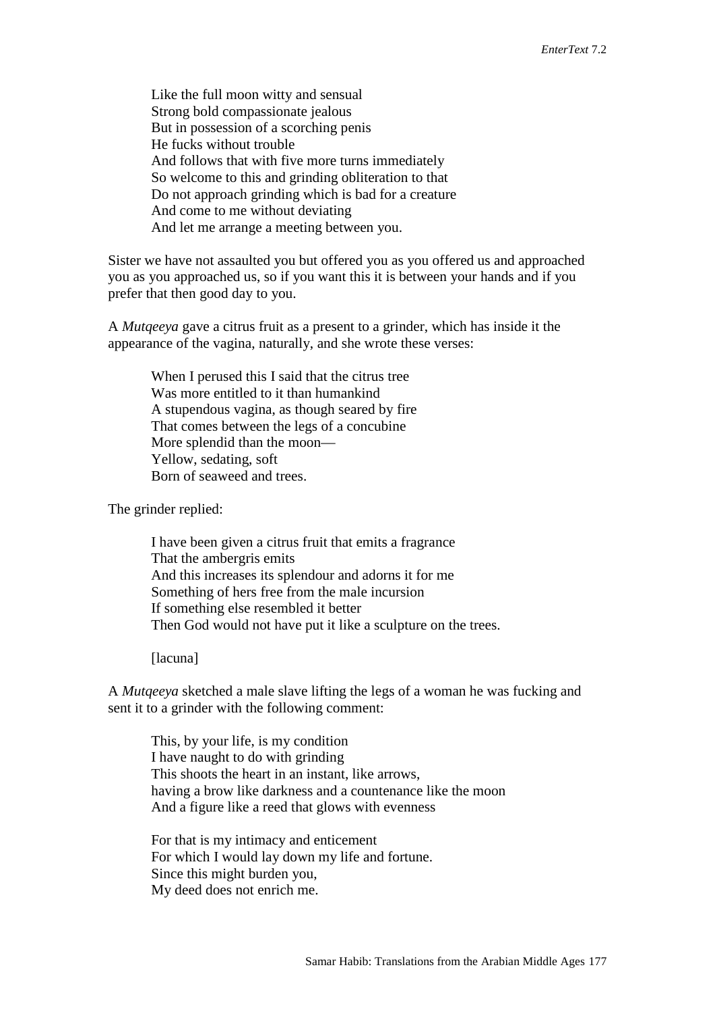Like the full moon witty and sensual Strong bold compassionate jealous But in possession of a scorching penis He fucks without trouble And follows that with five more turns immediately So welcome to this and grinding obliteration to that Do not approach grinding which is bad for a creature And come to me without deviating And let me arrange a meeting between you.

Sister we have not assaulted you but offered you as you offered us and approached you as you approached us, so if you want this it is between your hands and if you prefer that then good day to you.

A *Mutqeeya* gave a citrus fruit as a present to a grinder, which has inside it the appearance of the vagina, naturally, and she wrote these verses:

When I perused this I said that the citrus tree Was more entitled to it than humankind A stupendous vagina, as though seared by fire That comes between the legs of a concubine More splendid than the moon— Yellow, sedating, soft Born of seaweed and trees.

The grinder replied:

I have been given a citrus fruit that emits a fragrance That the ambergris emits And this increases its splendour and adorns it for me Something of hers free from the male incursion If something else resembled it better Then God would not have put it like a sculpture on the trees.

[lacuna]

A *Mutqeeya* sketched a male slave lifting the legs of a woman he was fucking and sent it to a grinder with the following comment:

This, by your life, is my condition I have naught to do with grinding This shoots the heart in an instant, like arrows, having a brow like darkness and a countenance like the moon And a figure like a reed that glows with evenness

For that is my intimacy and enticement For which I would lay down my life and fortune. Since this might burden you, My deed does not enrich me.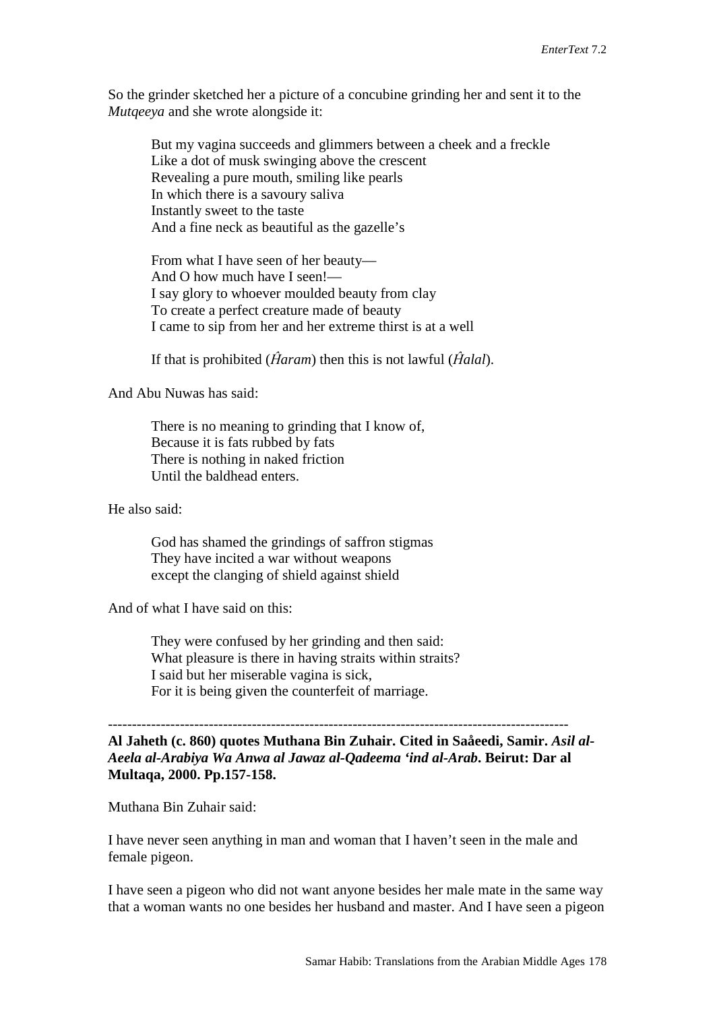So the grinder sketched her a picture of a concubine grinding her and sent it to the *Mutqeeya* and she wrote alongside it:

But my vagina succeeds and glimmers between a cheek and a freckle Like a dot of musk swinging above the crescent Revealing a pure mouth, smiling like pearls In which there is a savoury saliva Instantly sweet to the taste And a fine neck as beautiful as the gazelle's

From what I have seen of her beauty— And O how much have I seen!— I say glory to whoever moulded beauty from clay To create a perfect creature made of beauty I came to sip from her and her extreme thirst is at a well

If that is prohibited (*Ĥaram*) then this is not lawful (*Ĥalal*).

And Abu Nuwas has said:

There is no meaning to grinding that I know of, Because it is fats rubbed by fats There is nothing in naked friction Until the baldhead enters.

He also said:

God has shamed the grindings of saffron stigmas They have incited a war without weapons except the clanging of shield against shield

And of what I have said on this:

They were confused by her grinding and then said: What pleasure is there in having straits within straits? I said but her miserable vagina is sick, For it is being given the counterfeit of marriage.

**Al Jaheth (c. 860) quotes Muthana Bin Zuhair. Cited in Saåeedi, Samir.** *Asil al-Aeela al-Arabiya Wa Anwa al Jawaz al-Qadeema 'ind al-Arab***. Beirut: Dar al Multaqa, 2000. Pp.157-158.**

------------------------------------------------------------------------------------------------

Muthana Bin Zuhair said:

I have never seen anything in man and woman that I haven't seen in the male and female pigeon.

I have seen a pigeon who did not want anyone besides her male mate in the same way that a woman wants no one besides her husband and master. And I have seen a pigeon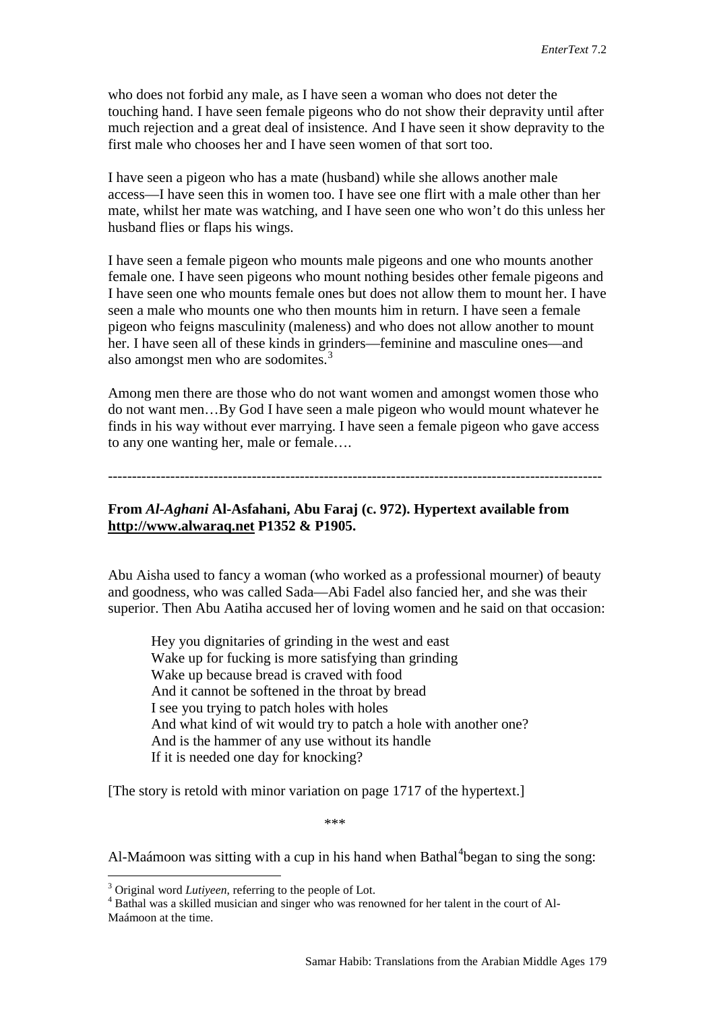who does not forbid any male, as I have seen a woman who does not deter the touching hand. I have seen female pigeons who do not show their depravity until after much rejection and a great deal of insistence. And I have seen it show depravity to the first male who chooses her and I have seen women of that sort too.

I have seen a pigeon who has a mate (husband) while she allows another male access—I have seen this in women too. I have see one flirt with a male other than her mate, whilst her mate was watching, and I have seen one who won't do this unless her husband flies or flaps his wings.

I have seen a female pigeon who mounts male pigeons and one who mounts another female one. I have seen pigeons who mount nothing besides other female pigeons and I have seen one who mounts female ones but does not allow them to mount her. I have seen a male who mounts one who then mounts him in return. I have seen a female pigeon who feigns masculinity (maleness) and who does not allow another to mount her. I have seen all of these kinds in grinders—feminine and masculine ones—and also amongst men who are sodomites.<sup>[3](#page-6-0)</sup>

Among men there are those who do not want women and amongst women those who do not want men…By God I have seen a male pigeon who would mount whatever he finds in his way without ever marrying. I have seen a female pigeon who gave access to any one wanting her, male or female….

-------------------------------------------------------------------------------------------------------

## **From** *Al-Aghani* **Al-Asfahani, Abu Faraj (c. 972). Hypertext available from [http://www.alwaraq.net](http://www.alwaraq.net/) P1352 & P1905.**

Abu Aisha used to fancy a woman (who worked as a professional mourner) of beauty and goodness, who was called Sada—Abi Fadel also fancied her, and she was their superior. Then Abu Aatiha accused her of loving women and he said on that occasion:

Hey you dignitaries of grinding in the west and east Wake up for fucking is more satisfying than grinding Wake up because bread is craved with food And it cannot be softened in the throat by bread I see you trying to patch holes with holes And what kind of wit would try to patch a hole with another one? And is the hammer of any use without its handle If it is needed one day for knocking?

[The story is retold with minor variation on page 1717 of the hypertext.]

\*\*\*

Al-Maámoon was sitting with a cup in his hand when Bathal<sup>[4](#page-6-1)</sup>began to sing the song:

<span id="page-6-1"></span><span id="page-6-0"></span><sup>&</sup>lt;sup>3</sup> Original word *Lutiyeen*, referring to the people of Lot.<br><sup>4</sup> Bathal was a skilled musician and singer who was renowned for her talent in the court of Al-Maámoon at the time.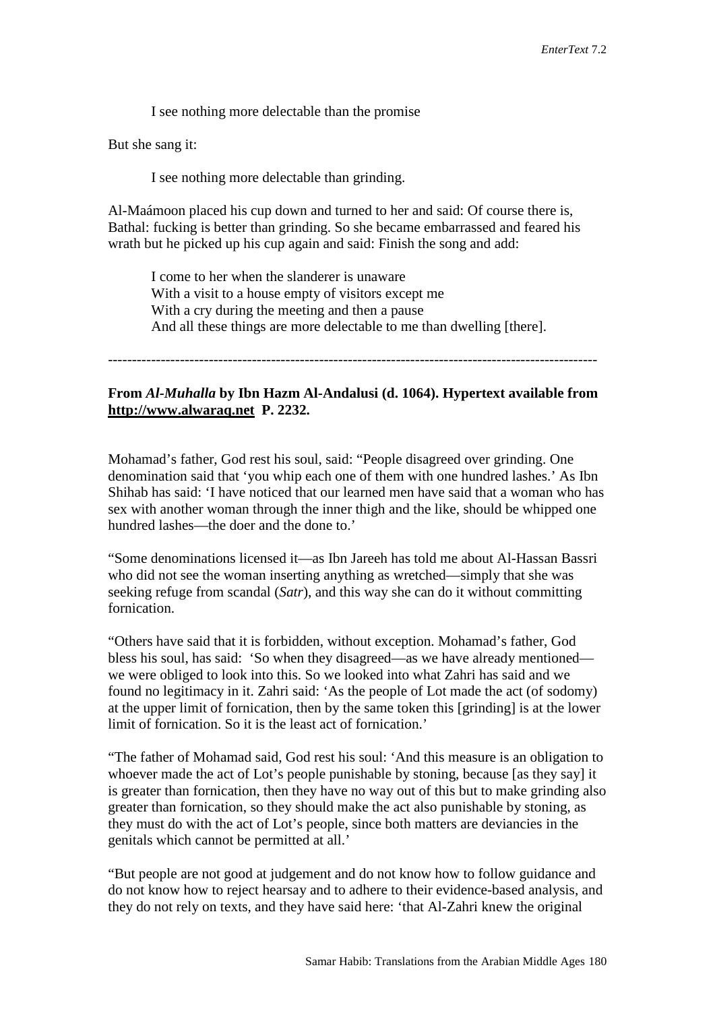I see nothing more delectable than the promise

But she sang it:

I see nothing more delectable than grinding.

Al-Maámoon placed his cup down and turned to her and said: Of course there is, Bathal: fucking is better than grinding. So she became embarrassed and feared his wrath but he picked up his cup again and said: Finish the song and add:

I come to her when the slanderer is unaware With a visit to a house empty of visitors except me With a cry during the meeting and then a pause And all these things are more delectable to me than dwelling [there].

------------------------------------------------------------------------------------------------------

## **From** *Al-Muhalla* **by Ibn Hazm Al-Andalusi (d. 1064). Hypertext available from [http://www.alwaraq.net](http://www.alwaraq.com/) P. 2232.**

Mohamad's father, God rest his soul, said: "People disagreed over grinding. One denomination said that 'you whip each one of them with one hundred lashes.' As Ibn Shihab has said: 'I have noticed that our learned men have said that a woman who has sex with another woman through the inner thigh and the like, should be whipped one hundred lashes—the doer and the done to.'

"Some denominations licensed it—as Ibn Jareeh has told me about Al-Hassan Bassri who did not see the woman inserting anything as wretched—simply that she was seeking refuge from scandal (*Satr*), and this way she can do it without committing fornication.

"Others have said that it is forbidden, without exception. Mohamad's father, God bless his soul, has said: 'So when they disagreed—as we have already mentioned we were obliged to look into this. So we looked into what Zahri has said and we found no legitimacy in it. Zahri said: 'As the people of Lot made the act (of sodomy) at the upper limit of fornication, then by the same token this [grinding] is at the lower limit of fornication. So it is the least act of fornication.'

"The father of Mohamad said, God rest his soul: 'And this measure is an obligation to whoever made the act of Lot's people punishable by stoning, because [as they say] it is greater than fornication, then they have no way out of this but to make grinding also greater than fornication, so they should make the act also punishable by stoning, as they must do with the act of Lot's people, since both matters are deviancies in the genitals which cannot be permitted at all.'

"But people are not good at judgement and do not know how to follow guidance and do not know how to reject hearsay and to adhere to their evidence-based analysis, and they do not rely on texts, and they have said here: 'that Al-Zahri knew the original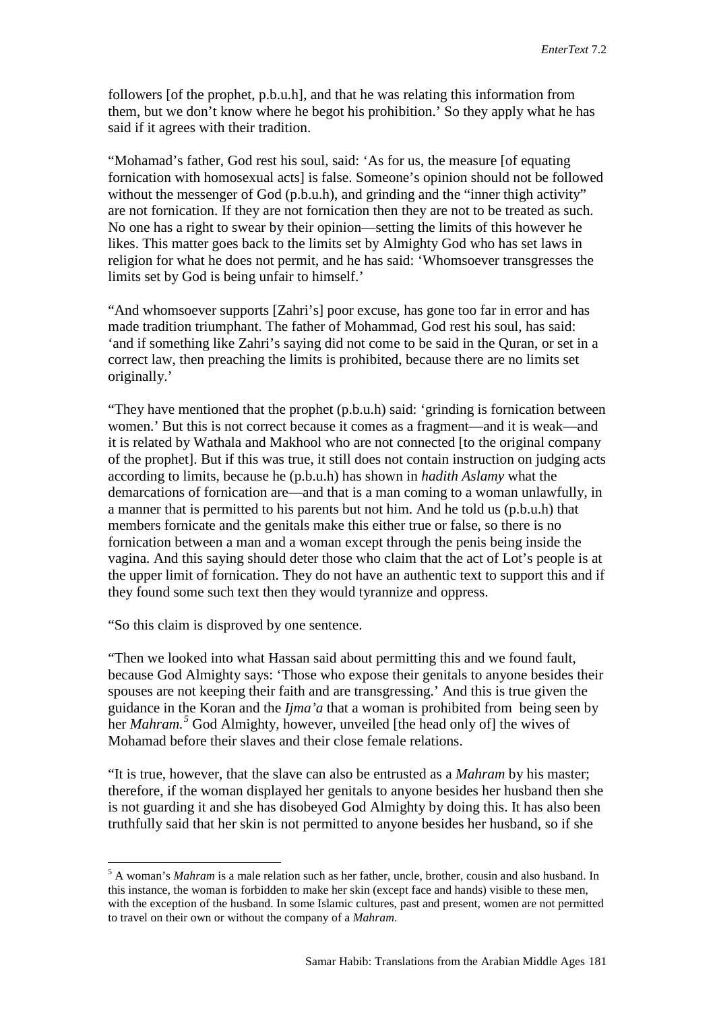followers [of the prophet, p.b.u.h], and that he was relating this information from them, but we don't know where he begot his prohibition.' So they apply what he has said if it agrees with their tradition.

"Mohamad's father, God rest his soul, said: 'As for us, the measure [of equating fornication with homosexual acts] is false. Someone's opinion should not be followed without the messenger of God (p.b.u.h), and grinding and the "inner thigh activity" are not fornication. If they are not fornication then they are not to be treated as such. No one has a right to swear by their opinion—setting the limits of this however he likes. This matter goes back to the limits set by Almighty God who has set laws in religion for what he does not permit, and he has said: 'Whomsoever transgresses the limits set by God is being unfair to himself.'

"And whomsoever supports [Zahri's] poor excuse, has gone too far in error and has made tradition triumphant. The father of Mohammad, God rest his soul, has said: 'and if something like Zahri's saying did not come to be said in the Quran, or set in a correct law, then preaching the limits is prohibited, because there are no limits set originally.'

"They have mentioned that the prophet (p.b.u.h) said: 'grinding is fornication between women.' But this is not correct because it comes as a fragment—and it is weak—and it is related by Wathala and Makhool who are not connected [to the original company of the prophet]. But if this was true, it still does not contain instruction on judging acts according to limits, because he (p.b.u.h) has shown in *hadith Aslamy* what the demarcations of fornication are—and that is a man coming to a woman unlawfully, in a manner that is permitted to his parents but not him. And he told us (p.b.u.h) that members fornicate and the genitals make this either true or false, so there is no fornication between a man and a woman except through the penis being inside the vagina. And this saying should deter those who claim that the act of Lot's people is at the upper limit of fornication. They do not have an authentic text to support this and if they found some such text then they would tyrannize and oppress.

"So this claim is disproved by one sentence.

"Then we looked into what Hassan said about permitting this and we found fault, because God Almighty says: 'Those who expose their genitals to anyone besides their spouses are not keeping their faith and are transgressing.' And this is true given the guidance in the Koran and the *Ijma'a* that a woman is prohibited from being seen by her *Mahram. [5](#page-8-0)* God Almighty, however, unveiled [the head only of] the wives of Mohamad before their slaves and their close female relations.

"It is true, however, that the slave can also be entrusted as a *Mahram* by his master; therefore, if the woman displayed her genitals to anyone besides her husband then she is not guarding it and she has disobeyed God Almighty by doing this. It has also been truthfully said that her skin is not permitted to anyone besides her husband, so if she

<span id="page-8-0"></span> <sup>5</sup> A woman's *Mahram* is a male relation such as her father, uncle, brother, cousin and also husband. In this instance, the woman is forbidden to make her skin (except face and hands) visible to these men, with the exception of the husband. In some Islamic cultures, past and present, women are not permitted to travel on their own or without the company of a *Mahram*.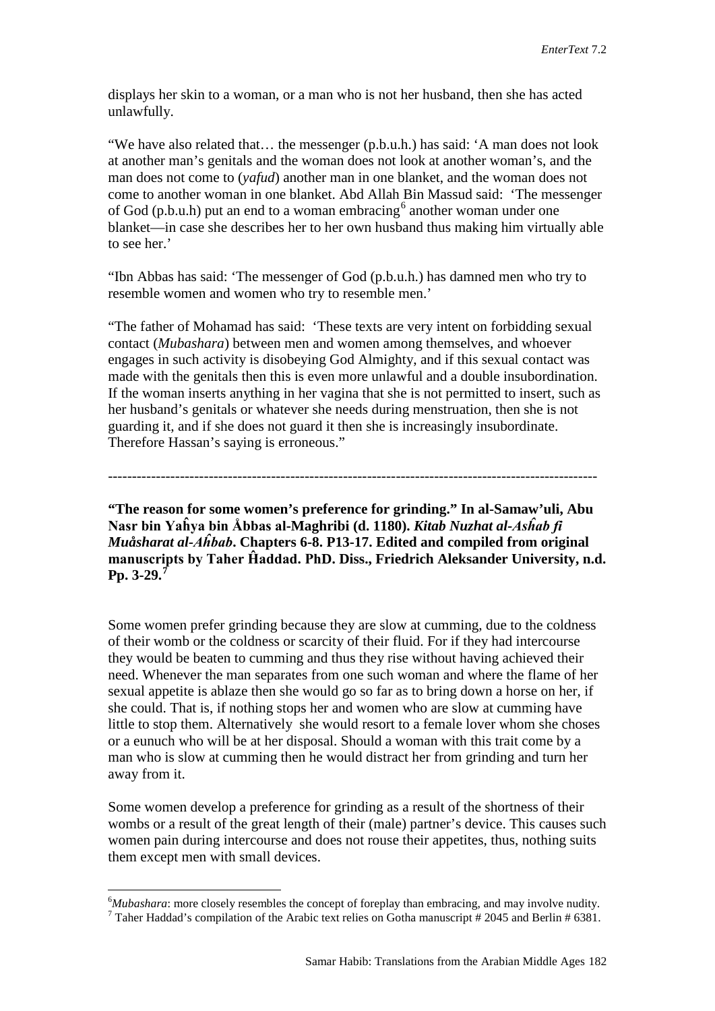displays her skin to a woman, or a man who is not her husband, then she has acted unlawfully.

"We have also related that… the messenger (p.b.u.h.) has said: 'A man does not look at another man's genitals and the woman does not look at another woman's, and the man does not come to (*yafud*) another man in one blanket, and the woman does not come to another woman in one blanket. Abd Allah Bin Massud said: 'The messenger of God (p.b.u.h) put an end to a woman embracing  $6$  another woman under one blanket—in case she describes her to her own husband thus making him virtually able to see her.'

"Ibn Abbas has said: 'The messenger of God (p.b.u.h.) has damned men who try to resemble women and women who try to resemble men.'

"The father of Mohamad has said: 'These texts are very intent on forbidding sexual contact (*Mubashara*) between men and women among themselves, and whoever engages in such activity is disobeying God Almighty, and if this sexual contact was made with the genitals then this is even more unlawful and a double insubordination. If the woman inserts anything in her vagina that she is not permitted to insert, such as her husband's genitals or whatever she needs during menstruation, then she is not guarding it, and if she does not guard it then she is increasingly insubordinate. Therefore Hassan's saying is erroneous."

------------------------------------------------------------------------------------------------------

**"The reason for some women's preference for grinding." In al-Samaw'uli, Abu Nasr bin Yaĥya bin Åbbas al-Maghribi (d. 1180).** *Kitab Nuzhat al-Asĥab fi Muåsharat al-Aĥbab***. Chapters 6-8. P13-17. Edited and compiled from original manuscripts by Taher Ĥaddad. PhD. Diss., Friedrich Aleksander University, n.d. Pp. 3-29.[7](#page-9-1)**

Some women prefer grinding because they are slow at cumming, due to the coldness of their womb or the coldness or scarcity of their fluid. For if they had intercourse they would be beaten to cumming and thus they rise without having achieved their need. Whenever the man separates from one such woman and where the flame of her sexual appetite is ablaze then she would go so far as to bring down a horse on her, if she could. That is, if nothing stops her and women who are slow at cumming have little to stop them. Alternatively she would resort to a female lover whom she choses or a eunuch who will be at her disposal. Should a woman with this trait come by a man who is slow at cumming then he would distract her from grinding and turn her away from it.

Some women develop a preference for grinding as a result of the shortness of their wombs or a result of the great length of their (male) partner's device. This causes such women pain during intercourse and does not rouse their appetites, thus, nothing suits them except men with small devices.

<span id="page-9-0"></span> $\frac{1}{6}$ <sup>6</sup>*Mubashara*: more closely resembles the concept of foreplay than embracing, and may involve nudity. <sup>7</sup> Taher Haddad's compilation of the Arabic text relies on Gotha manuscript # 2045 and Berlin # 6381.

<span id="page-9-1"></span>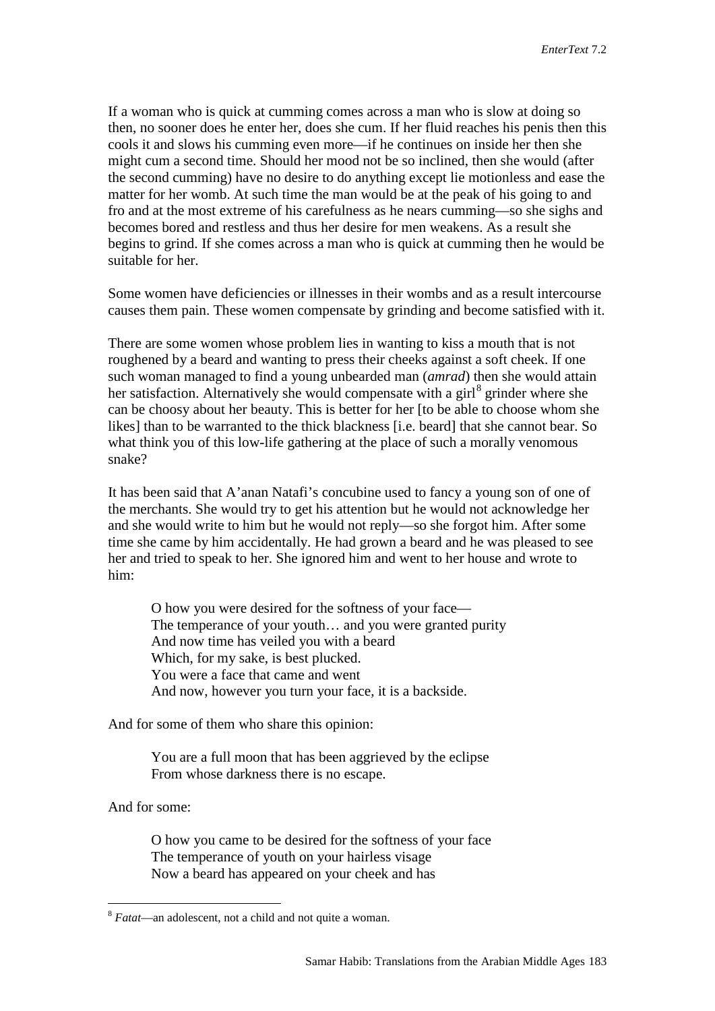If a woman who is quick at cumming comes across a man who is slow at doing so then, no sooner does he enter her, does she cum. If her fluid reaches his penis then this cools it and slows his cumming even more—if he continues on inside her then she might cum a second time. Should her mood not be so inclined, then she would (after the second cumming) have no desire to do anything except lie motionless and ease the matter for her womb. At such time the man would be at the peak of his going to and fro and at the most extreme of his carefulness as he nears cumming—so she sighs and becomes bored and restless and thus her desire for men weakens. As a result she begins to grind. If she comes across a man who is quick at cumming then he would be suitable for her.

Some women have deficiencies or illnesses in their wombs and as a result intercourse causes them pain. These women compensate by grinding and become satisfied with it.

There are some women whose problem lies in wanting to kiss a mouth that is not roughened by a beard and wanting to press their cheeks against a soft cheek. If one such woman managed to find a young unbearded man (*amrad*) then she would attain her satisfaction. Alternatively she would compensate with a girl $^8$  $^8$  grinder where she can be choosy about her beauty. This is better for her [to be able to choose whom she likes] than to be warranted to the thick blackness [i.e. beard] that she cannot bear. So what think you of this low-life gathering at the place of such a morally venomous snake?

It has been said that A'anan Natafi's concubine used to fancy a young son of one of the merchants. She would try to get his attention but he would not acknowledge her and she would write to him but he would not reply—so she forgot him. After some time she came by him accidentally. He had grown a beard and he was pleased to see her and tried to speak to her. She ignored him and went to her house and wrote to him:

O how you were desired for the softness of your face— The temperance of your youth… and you were granted purity And now time has veiled you with a beard Which, for my sake, is best plucked. You were a face that came and went And now, however you turn your face, it is a backside.

And for some of them who share this opinion:

You are a full moon that has been aggrieved by the eclipse From whose darkness there is no escape.

And for some:

O how you came to be desired for the softness of your face The temperance of youth on your hairless visage Now a beard has appeared on your cheek and has

<span id="page-10-0"></span> <sup>8</sup> *Fatat*—an adolescent, not a child and not quite a woman.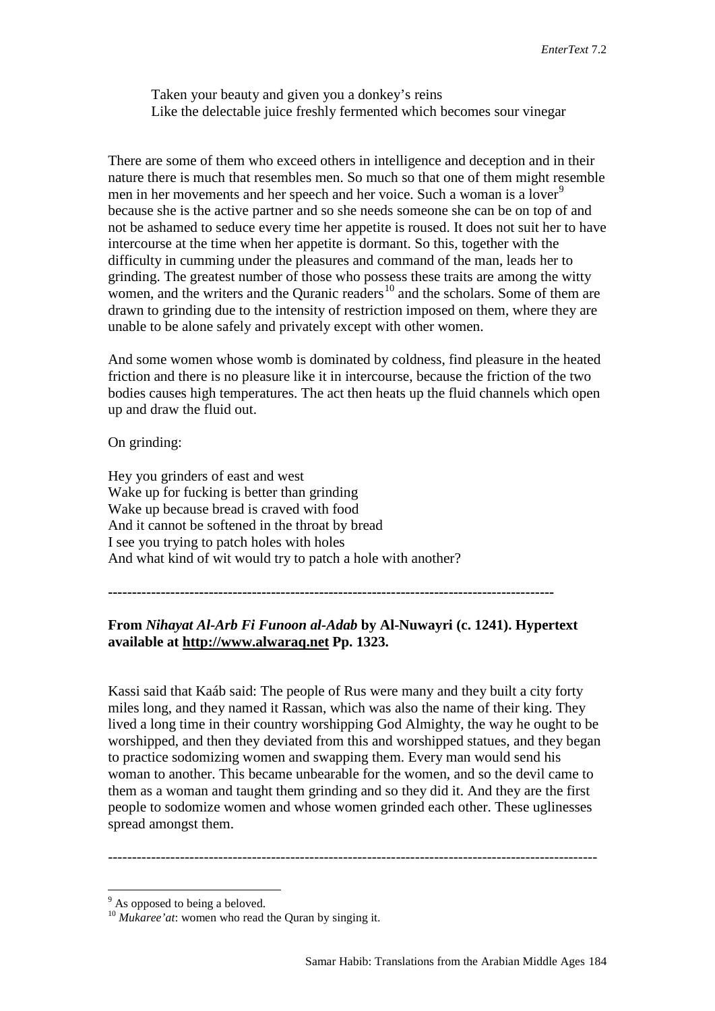Taken your beauty and given you a donkey's reins Like the delectable juice freshly fermented which becomes sour vinegar

There are some of them who exceed others in intelligence and deception and in their nature there is much that resembles men. So much so that one of them might resemble men in her movements and her speech and her voice. Such a woman is a lover<sup>[9](#page-11-0)</sup> because she is the active partner and so she needs someone she can be on top of and not be ashamed to seduce every time her appetite is roused. It does not suit her to have intercourse at the time when her appetite is dormant. So this, together with the difficulty in cumming under the pleasures and command of the man, leads her to grinding. The greatest number of those who possess these traits are among the witty women, and the writers and the Ouranic readers<sup>[10](#page-11-1)</sup> and the scholars. Some of them are drawn to grinding due to the intensity of restriction imposed on them, where they are unable to be alone safely and privately except with other women.

And some women whose womb is dominated by coldness, find pleasure in the heated friction and there is no pleasure like it in intercourse, because the friction of the two bodies causes high temperatures. The act then heats up the fluid channels which open up and draw the fluid out.

On grinding:

Hey you grinders of east and west Wake up for fucking is better than grinding Wake up because bread is craved with food And it cannot be softened in the throat by bread I see you trying to patch holes with holes And what kind of wit would try to patch a hole with another?

**---------------------------------------------------------------------------------------------**

# **From** *Nihayat Al-Arb Fi Funoon al-Adab* **by Al-Nuwayri (c. 1241). Hypertext available at [http://www.alwaraq.net](http://www.alwaraq.net/) Pp. 1323.**

Kassi said that Kaáb said: The people of Rus were many and they built a city forty miles long, and they named it Rassan, which was also the name of their king. They lived a long time in their country worshipping God Almighty, the way he ought to be worshipped, and then they deviated from this and worshipped statues, and they began to practice sodomizing women and swapping them. Every man would send his woman to another. This became unbearable for the women, and so the devil came to them as a woman and taught them grinding and so they did it. And they are the first people to sodomize women and whose women grinded each other. These uglinesses spread amongst them.

------------------------------------------------------------------------------------------------------

<span id="page-11-0"></span> $9$ <sup>9</sup> As opposed to being a beloved.

<span id="page-11-1"></span><sup>10</sup> *Mukaree'at*: women who read the Quran by singing it.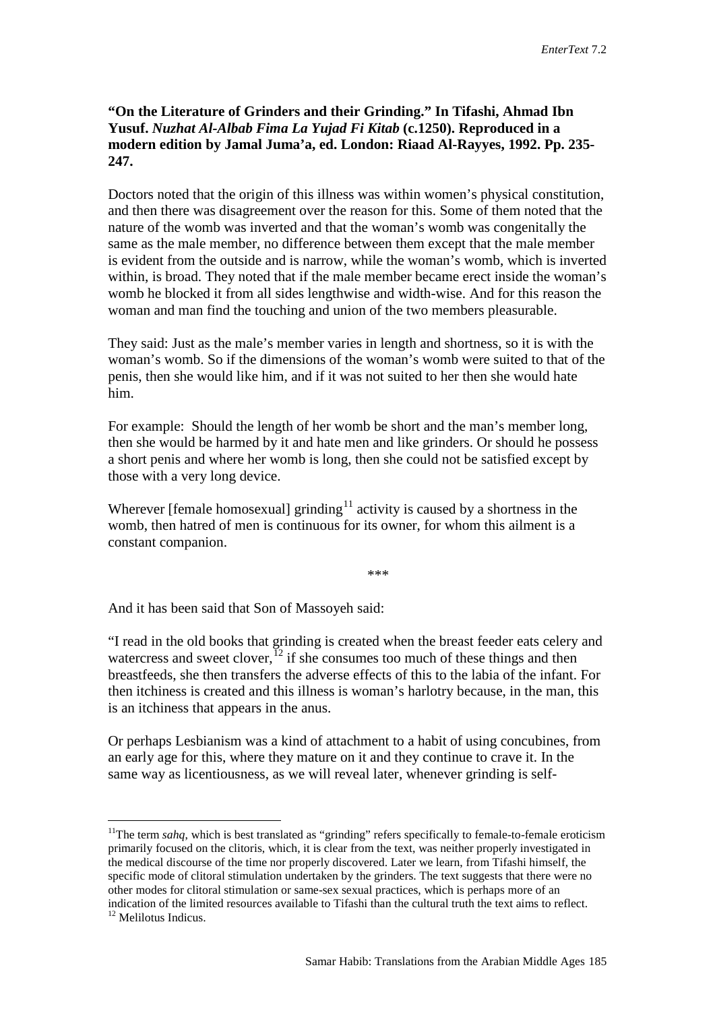## **"On the Literature of Grinders and their Grinding." In Tifashi, Ahmad Ibn Yusuf.** *Nuzhat Al-Albab Fima La Yujad Fi Kitab* **(c.1250). Reproduced in a modern edition by Jamal Juma'a, ed. London: Riaad Al-Rayyes, 1992. Pp. 235- 247.**

Doctors noted that the origin of this illness was within women's physical constitution, and then there was disagreement over the reason for this. Some of them noted that the nature of the womb was inverted and that the woman's womb was congenitally the same as the male member, no difference between them except that the male member is evident from the outside and is narrow, while the woman's womb, which is inverted within, is broad. They noted that if the male member became erect inside the woman's womb he blocked it from all sides lengthwise and width-wise. And for this reason the woman and man find the touching and union of the two members pleasurable.

They said: Just as the male's member varies in length and shortness, so it is with the woman's womb. So if the dimensions of the woman's womb were suited to that of the penis, then she would like him, and if it was not suited to her then she would hate him.

For example: Should the length of her womb be short and the man's member long, then she would be harmed by it and hate men and like grinders. Or should he possess a short penis and where her womb is long, then she could not be satisfied except by those with a very long device.

Wherever [female homosexual] grinding<sup>[11](#page-12-0)</sup> activity is caused by a shortness in the womb, then hatred of men is continuous for its owner, for whom this ailment is a constant companion.

\*\*\*

And it has been said that Son of Massoyeh said:

"I read in the old books that grinding is created when the breast feeder eats celery and watercress and sweet clover.<sup>[12](#page-12-1)</sup> if she consumes too much of these things and then breastfeeds, she then transfers the adverse effects of this to the labia of the infant. For then itchiness is created and this illness is woman's harlotry because, in the man, this is an itchiness that appears in the anus.

Or perhaps Lesbianism was a kind of attachment to a habit of using concubines, from an early age for this, where they mature on it and they continue to crave it. In the same way as licentiousness, as we will reveal later, whenever grinding is self-

<span id="page-12-1"></span><span id="page-12-0"></span><sup>&</sup>lt;sup>11</sup>The term *sahq*, which is best translated as "grinding" refers specifically to female-to-female eroticism primarily focused on the clitoris, which, it is clear from the text, was neither properly investigated in the medical discourse of the time nor properly discovered. Later we learn, from Tifashi himself, the specific mode of clitoral stimulation undertaken by the grinders. The text suggests that there were no other modes for clitoral stimulation or same-sex sexual practices, which is perhaps more of an indication of the limited resources available to Tifashi than the cultural truth the text aims to reflect. <sup>12</sup> Melilotus Indicus.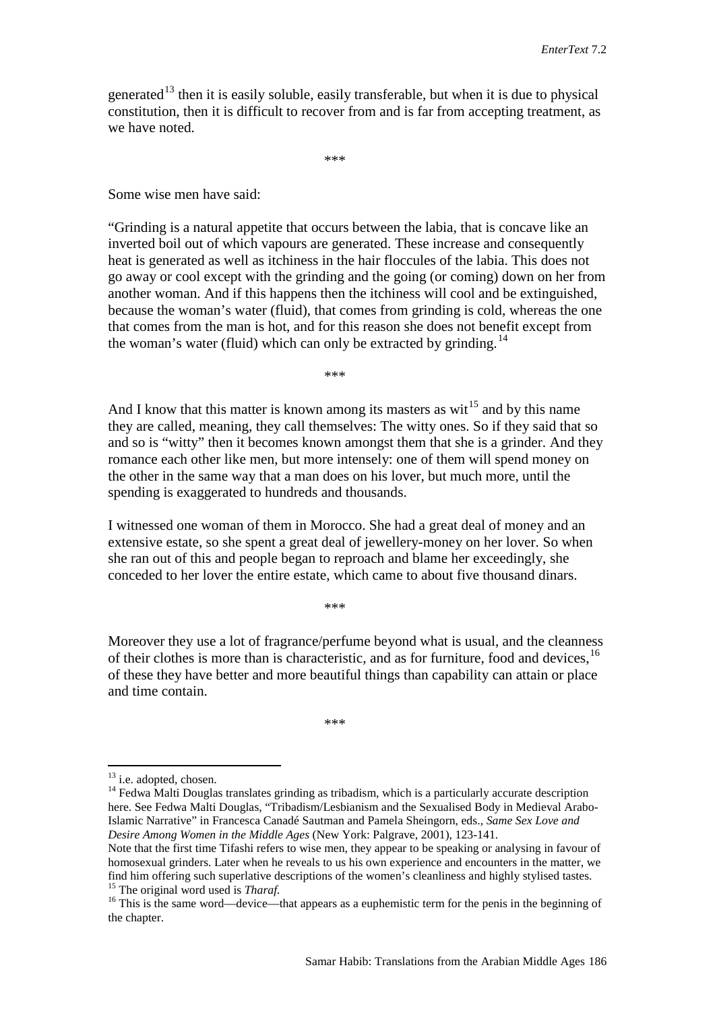generated<sup>[13](#page-13-0)</sup> then it is easily soluble, easily transferable, but when it is due to physical constitution, then it is difficult to recover from and is far from accepting treatment, as we have noted.

\*\*\*

Some wise men have said:

"Grinding is a natural appetite that occurs between the labia, that is concave like an inverted boil out of which vapours are generated. These increase and consequently heat is generated as well as itchiness in the hair floccules of the labia. This does not go away or cool except with the grinding and the going (or coming) down on her from another woman. And if this happens then the itchiness will cool and be extinguished, because the woman's water (fluid), that comes from grinding is cold, whereas the one that comes from the man is hot, and for this reason she does not benefit except from the woman's water (fluid) which can only be extracted by grinding.<sup>[14](#page-13-1)</sup>

\*\*\*

And I know that this matter is known among its masters as wit<sup>[15](#page-13-2)</sup> and by this name they are called, meaning, they call themselves: The witty ones. So if they said that so and so is "witty" then it becomes known amongst them that she is a grinder. And they romance each other like men, but more intensely: one of them will spend money on the other in the same way that a man does on his lover, but much more, until the spending is exaggerated to hundreds and thousands.

I witnessed one woman of them in Morocco. She had a great deal of money and an extensive estate, so she spent a great deal of jewellery-money on her lover. So when she ran out of this and people began to reproach and blame her exceedingly, she conceded to her lover the entire estate, which came to about five thousand dinars.

\*\*\*

Moreover they use a lot of fragrance/perfume beyond what is usual, and the cleanness of their clothes is more than is characteristic, and as for furniture, food and devices, <sup>[16](#page-13-3)</sup> of these they have better and more beautiful things than capability can attain or place and time contain.

\*\*\*

<span id="page-13-1"></span>

<span id="page-13-0"></span><sup>&</sup>lt;sup>13</sup> i.e. adopted, chosen.<br><sup>14</sup> Fedwa Malti Douglas translates grinding as tribadism, which is a particularly accurate description here. See Fedwa Malti Douglas, "Tribadism/Lesbianism and the Sexualised Body in Medieval Arabo-Islamic Narrative" in Francesca Canadé Sautman and Pamela Sheingorn, eds., *Same Sex Love and Desire Among Women in the Middle Ages* (New York: Palgrave, 2001), 123-141.

Note that the first time Tifashi refers to wise men, they appear to be speaking or analysing in favour of homosexual grinders. Later when he reveals to us his own experience and encounters in the matter, we find him offering such superlative descriptions of the women's cleanliness and highly stylised tastes.<br><sup>15</sup> The original word used is *Tharaf*.

<span id="page-13-3"></span><span id="page-13-2"></span><sup>&</sup>lt;sup>16</sup> This is the same word—device—that appears as a euphemistic term for the penis in the beginning of the chapter.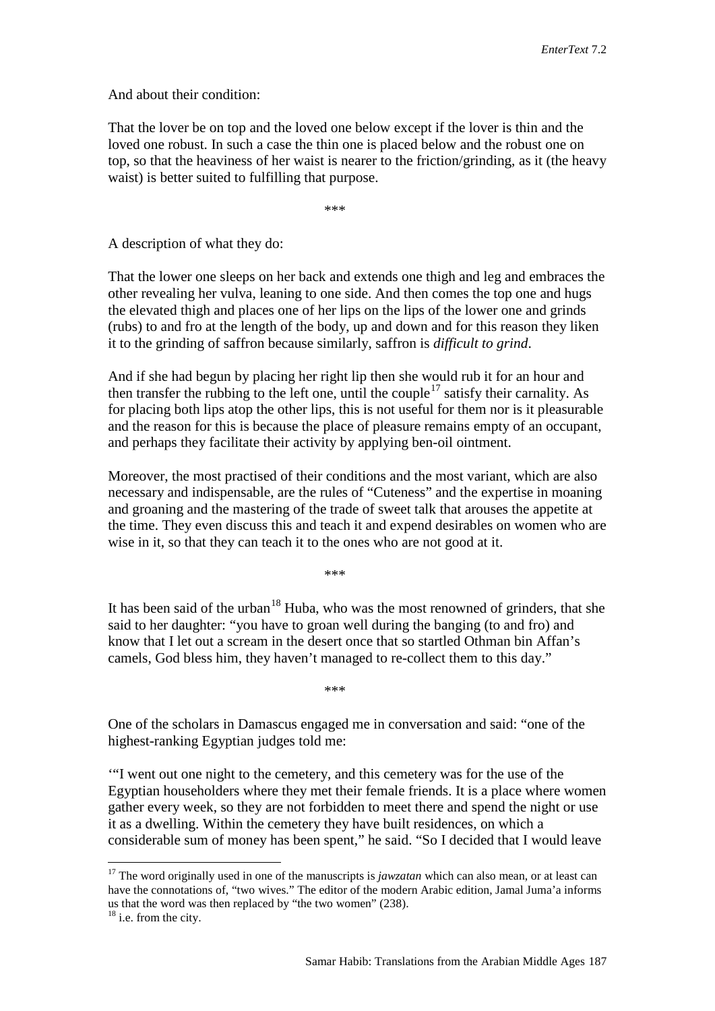And about their condition:

That the lover be on top and the loved one below except if the lover is thin and the loved one robust. In such a case the thin one is placed below and the robust one on top, so that the heaviness of her waist is nearer to the friction/grinding, as it (the heavy waist) is better suited to fulfilling that purpose.

\*\*\*

A description of what they do:

That the lower one sleeps on her back and extends one thigh and leg and embraces the other revealing her vulva, leaning to one side. And then comes the top one and hugs the elevated thigh and places one of her lips on the lips of the lower one and grinds (rubs) to and fro at the length of the body, up and down and for this reason they liken it to the grinding of saffron because similarly, saffron is *difficult to grind*.

And if she had begun by placing her right lip then she would rub it for an hour and then transfer the rubbing to the left one, until the couple<sup>[17](#page-14-0)</sup> satisfy their carnality. As for placing both lips atop the other lips, this is not useful for them nor is it pleasurable and the reason for this is because the place of pleasure remains empty of an occupant, and perhaps they facilitate their activity by applying ben-oil ointment.

Moreover, the most practised of their conditions and the most variant, which are also necessary and indispensable, are the rules of "Cuteness" and the expertise in moaning and groaning and the mastering of the trade of sweet talk that arouses the appetite at the time. They even discuss this and teach it and expend desirables on women who are wise in it, so that they can teach it to the ones who are not good at it.

\*\*\*

It has been said of the urban<sup>[18](#page-14-1)</sup> Huba, who was the most renowned of grinders, that she said to her daughter: "you have to groan well during the banging (to and fro) and know that I let out a scream in the desert once that so startled Othman bin Affan's camels, God bless him, they haven't managed to re-collect them to this day."

\*\*\*

One of the scholars in Damascus engaged me in conversation and said: "one of the highest-ranking Egyptian judges told me:

'"I went out one night to the cemetery, and this cemetery was for the use of the Egyptian householders where they met their female friends. It is a place where women gather every week, so they are not forbidden to meet there and spend the night or use it as a dwelling. Within the cemetery they have built residences, on which a considerable sum of money has been spent," he said. "So I decided that I would leave

<span id="page-14-0"></span><sup>&</sup>lt;sup>17</sup> The word originally used in one of the manuscripts is *jawzatan* which can also mean, or at least can have the connotations of, "two wives." The editor of the modern Arabic edition, Jamal Juma'a informs us that the word was then replaced by "the two women" (238).

<span id="page-14-1"></span> $18$  i.e. from the city.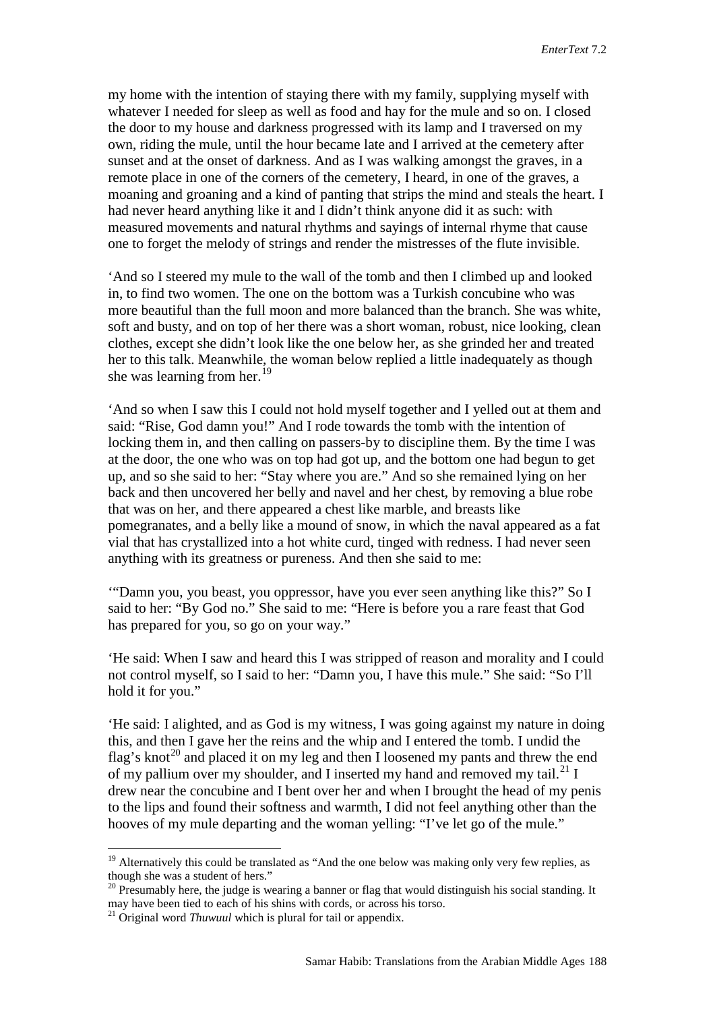my home with the intention of staying there with my family, supplying myself with whatever I needed for sleep as well as food and hay for the mule and so on. I closed the door to my house and darkness progressed with its lamp and I traversed on my own, riding the mule, until the hour became late and I arrived at the cemetery after sunset and at the onset of darkness. And as I was walking amongst the graves, in a remote place in one of the corners of the cemetery, I heard, in one of the graves, a moaning and groaning and a kind of panting that strips the mind and steals the heart. I had never heard anything like it and I didn't think anyone did it as such: with measured movements and natural rhythms and sayings of internal rhyme that cause one to forget the melody of strings and render the mistresses of the flute invisible.

'And so I steered my mule to the wall of the tomb and then I climbed up and looked in, to find two women. The one on the bottom was a Turkish concubine who was more beautiful than the full moon and more balanced than the branch. She was white, soft and busty, and on top of her there was a short woman, robust, nice looking, clean clothes, except she didn't look like the one below her, as she grinded her and treated her to this talk. Meanwhile, the woman below replied a little inadequately as though she was learning from her.<sup>[19](#page-15-0)</sup>

'And so when I saw this I could not hold myself together and I yelled out at them and said: "Rise, God damn you!" And I rode towards the tomb with the intention of locking them in, and then calling on passers-by to discipline them. By the time I was at the door, the one who was on top had got up, and the bottom one had begun to get up, and so she said to her: "Stay where you are." And so she remained lying on her back and then uncovered her belly and navel and her chest, by removing a blue robe that was on her, and there appeared a chest like marble, and breasts like pomegranates, and a belly like a mound of snow, in which the naval appeared as a fat vial that has crystallized into a hot white curd, tinged with redness. I had never seen anything with its greatness or pureness. And then she said to me:

'"Damn you, you beast, you oppressor, have you ever seen anything like this?" So I said to her: "By God no." She said to me: "Here is before you a rare feast that God has prepared for you, so go on your way."

'He said: When I saw and heard this I was stripped of reason and morality and I could not control myself, so I said to her: "Damn you, I have this mule." She said: "So I'll hold it for you."

'He said: I alighted, and as God is my witness, I was going against my nature in doing this, and then I gave her the reins and the whip and I entered the tomb. I undid the flag's knot<sup>[20](#page-15-1)</sup> and placed it on my leg and then I loosened my pants and threw the end of my pallium over my shoulder, and I inserted my hand and removed my tail.<sup>[21](#page-15-2)</sup> I drew near the concubine and I bent over her and when I brought the head of my penis to the lips and found their softness and warmth, I did not feel anything other than the hooves of my mule departing and the woman yelling: "I've let go of the mule."

<span id="page-15-0"></span><sup>&</sup>lt;sup>19</sup> Alternatively this could be translated as "And the one below was making only very few replies, as

<span id="page-15-1"></span>though she was a student of hers."<br><sup>20</sup> Presumably here, the judge is wearing a banner or flag that would distinguish his social standing. It may have been tied to each of his shins with cords, or across his torso.

<span id="page-15-2"></span><sup>&</sup>lt;sup>21</sup> Original word *Thuwuul* which is plural for tail or appendix.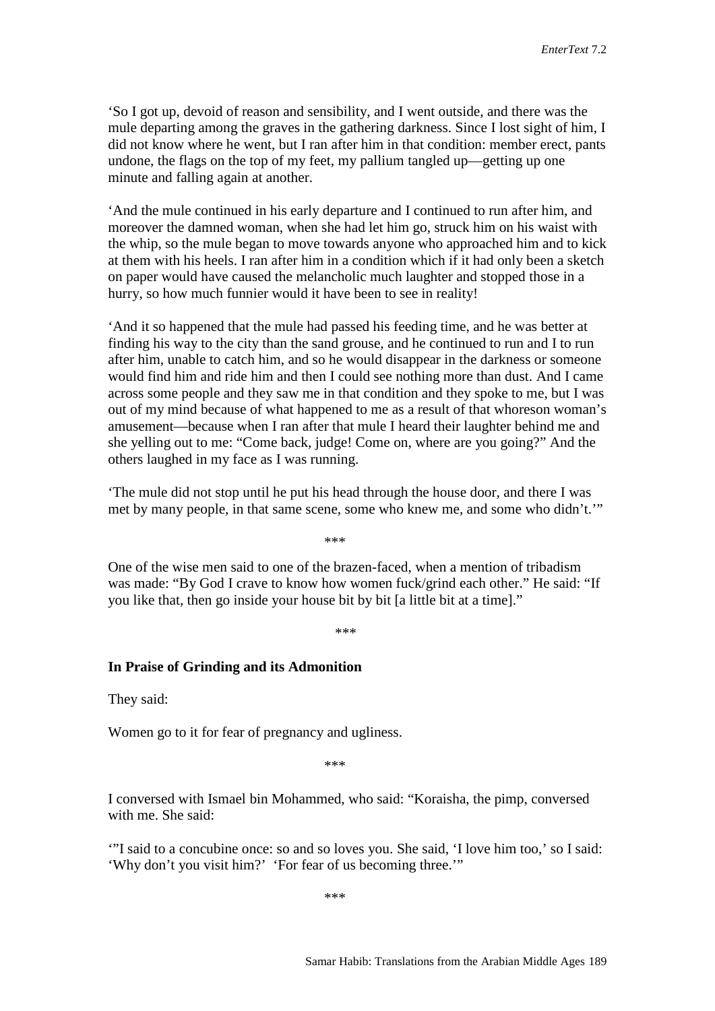'So I got up, devoid of reason and sensibility, and I went outside, and there was the mule departing among the graves in the gathering darkness. Since I lost sight of him, I did not know where he went, but I ran after him in that condition: member erect, pants undone, the flags on the top of my feet, my pallium tangled up—getting up one minute and falling again at another.

'And the mule continued in his early departure and I continued to run after him, and moreover the damned woman, when she had let him go, struck him on his waist with the whip, so the mule began to move towards anyone who approached him and to kick at them with his heels. I ran after him in a condition which if it had only been a sketch on paper would have caused the melancholic much laughter and stopped those in a hurry, so how much funnier would it have been to see in reality!

'And it so happened that the mule had passed his feeding time, and he was better at finding his way to the city than the sand grouse, and he continued to run and I to run after him, unable to catch him, and so he would disappear in the darkness or someone would find him and ride him and then I could see nothing more than dust. And I came across some people and they saw me in that condition and they spoke to me, but I was out of my mind because of what happened to me as a result of that whoreson woman's amusement—because when I ran after that mule I heard their laughter behind me and she yelling out to me: "Come back, judge! Come on, where are you going?" And the others laughed in my face as I was running.

'The mule did not stop until he put his head through the house door, and there I was met by many people, in that same scene, some who knew me, and some who didn't.'"

\*\*\*

One of the wise men said to one of the brazen-faced, when a mention of tribadism was made: "By God I crave to know how women fuck/grind each other." He said: "If you like that, then go inside your house bit by bit [a little bit at a time]."

\*\*\*

#### **In Praise of Grinding and its Admonition**

They said:

Women go to it for fear of pregnancy and ugliness.

\*\*\*

I conversed with Ismael bin Mohammed, who said: "Koraisha, the pimp, conversed with me. She said:

'"I said to a concubine once: so and so loves you. She said, 'I love him too,' so I said: 'Why don't you visit him?' 'For fear of us becoming three.'"

\*\*\*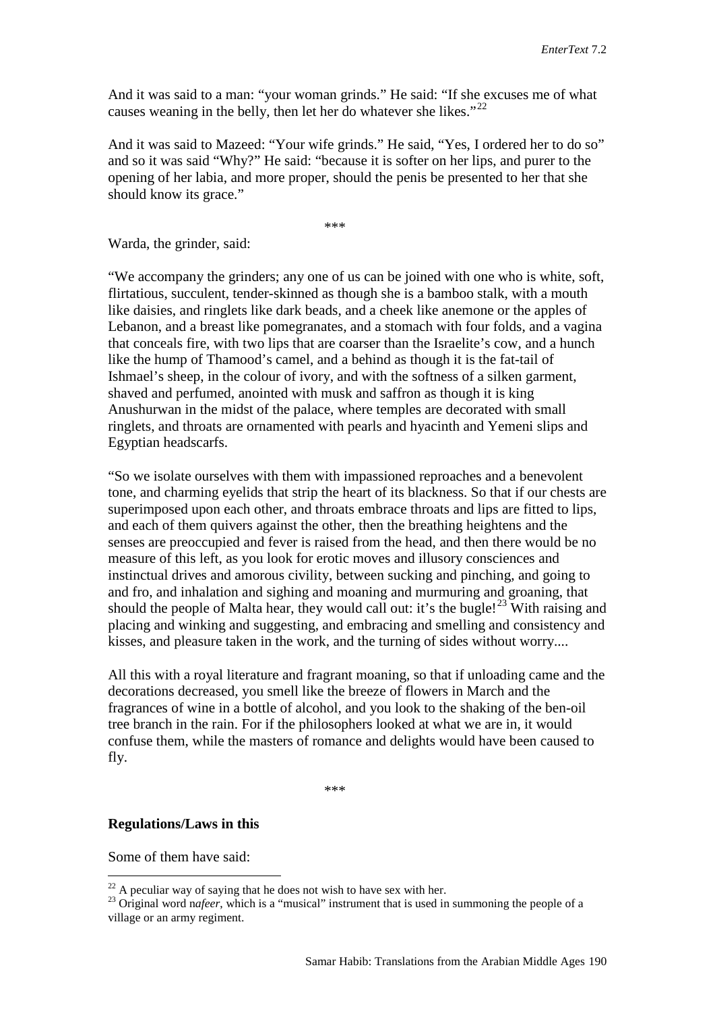And it was said to a man: "your woman grinds." He said: "If she excuses me of what causes weaning in the belly, then let her do whatever she likes."<sup>[22](#page-17-0)</sup>

And it was said to Mazeed: "Your wife grinds." He said, "Yes, I ordered her to do so" and so it was said "Why?" He said: "because it is softer on her lips, and purer to the opening of her labia, and more proper, should the penis be presented to her that she should know its grace."

\*\*\*

Warda, the grinder, said:

"We accompany the grinders; any one of us can be joined with one who is white, soft, flirtatious, succulent, tender-skinned as though she is a bamboo stalk, with a mouth like daisies, and ringlets like dark beads, and a cheek like anemone or the apples of Lebanon, and a breast like pomegranates, and a stomach with four folds, and a vagina that conceals fire, with two lips that are coarser than the Israelite's cow, and a hunch like the hump of Thamood's camel, and a behind as though it is the fat-tail of Ishmael's sheep, in the colour of ivory, and with the softness of a silken garment, shaved and perfumed, anointed with musk and saffron as though it is king Anushurwan in the midst of the palace, where temples are decorated with small ringlets, and throats are ornamented with pearls and hyacinth and Yemeni slips and Egyptian headscarfs.

"So we isolate ourselves with them with impassioned reproaches and a benevolent tone, and charming eyelids that strip the heart of its blackness. So that if our chests are superimposed upon each other, and throats embrace throats and lips are fitted to lips, and each of them quivers against the other, then the breathing heightens and the senses are preoccupied and fever is raised from the head, and then there would be no measure of this left, as you look for erotic moves and illusory consciences and instinctual drives and amorous civility, between sucking and pinching, and going to and fro, and inhalation and sighing and moaning and murmuring and groaning, that should the people of Malta hear, they would call out: it's the bugle!<sup>[23](#page-17-1)</sup> With raising and placing and winking and suggesting, and embracing and smelling and consistency and kisses, and pleasure taken in the work, and the turning of sides without worry....

All this with a royal literature and fragrant moaning, so that if unloading came and the decorations decreased, you smell like the breeze of flowers in March and the fragrances of wine in a bottle of alcohol, and you look to the shaking of the ben-oil tree branch in the rain. For if the philosophers looked at what we are in, it would confuse them, while the masters of romance and delights would have been caused to fly.

\*\*\*

#### **Regulations/Laws in this**

Some of them have said:

<span id="page-17-1"></span><span id="page-17-0"></span><sup>&</sup>lt;sup>22</sup> A peculiar way of saying that he does not wish to have sex with her.<br><sup>23</sup> Original word nafeer, which is a "musical" instrument that is used in summoning the people of a village or an army regiment.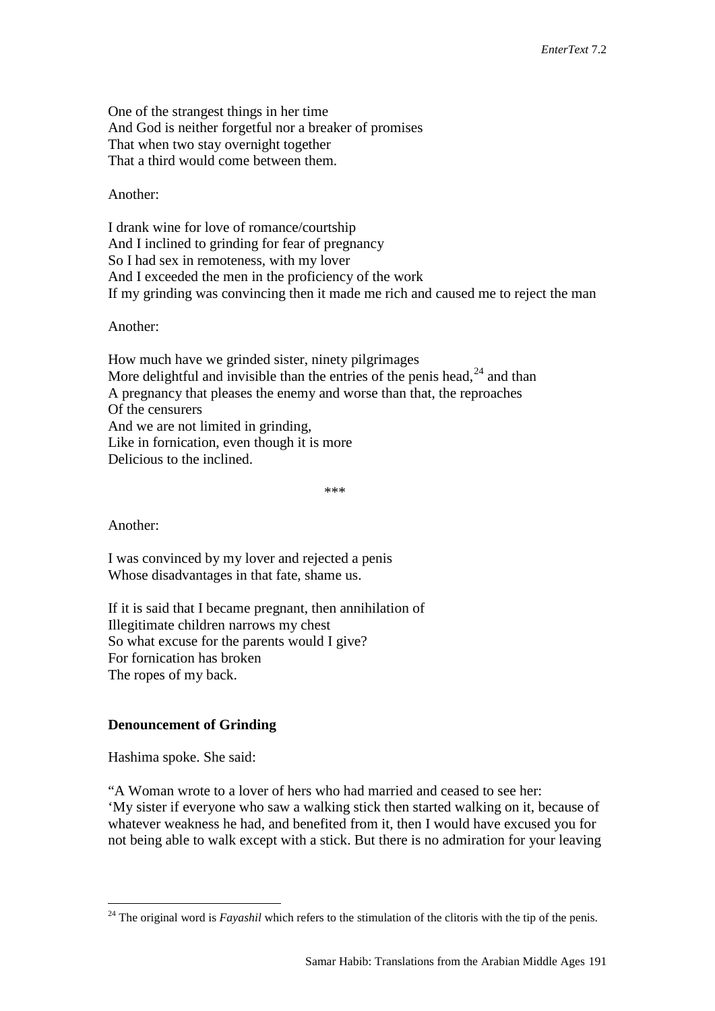One of the strangest things in her time And God is neither forgetful nor a breaker of promises That when two stay overnight together That a third would come between them.

Another:

I drank wine for love of romance/courtship And I inclined to grinding for fear of pregnancy So I had sex in remoteness, with my lover And I exceeded the men in the proficiency of the work If my grinding was convincing then it made me rich and caused me to reject the man

Another:

How much have we grinded sister, ninety pilgrimages More delightful and invisible than the entries of the penis head,  $24$  and than A pregnancy that pleases the enemy and worse than that, the reproaches Of the censurers And we are not limited in grinding, Like in fornication, even though it is more Delicious to the inclined.

\*\*\*

Another:

I was convinced by my lover and rejected a penis Whose disadvantages in that fate, shame us.

If it is said that I became pregnant, then annihilation of Illegitimate children narrows my chest So what excuse for the parents would I give? For fornication has broken The ropes of my back.

#### **Denouncement of Grinding**

Hashima spoke. She said:

"A Woman wrote to a lover of hers who had married and ceased to see her: 'My sister if everyone who saw a walking stick then started walking on it, because of whatever weakness he had, and benefited from it, then I would have excused you for not being able to walk except with a stick. But there is no admiration for your leaving

<span id="page-18-0"></span><sup>&</sup>lt;sup>24</sup> The original word is *Fayashil* which refers to the stimulation of the clitoris with the tip of the penis.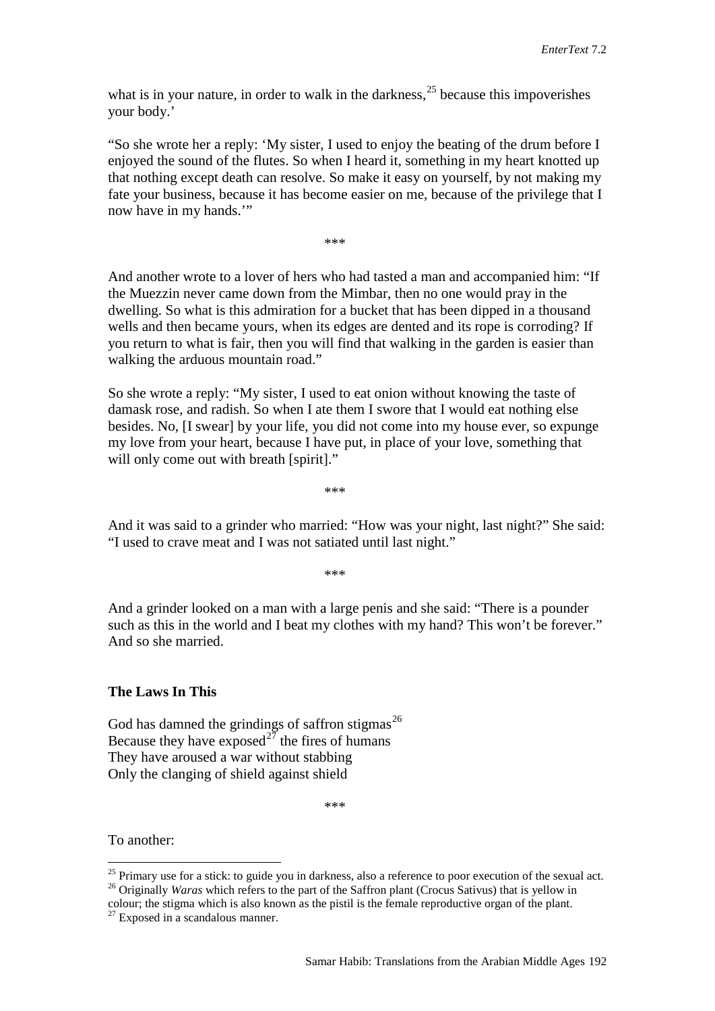what is in your nature, in order to walk in the darkness,  $25$  because this impoverishes your body.'

"So she wrote her a reply: 'My sister, I used to enjoy the beating of the drum before I enjoyed the sound of the flutes. So when I heard it, something in my heart knotted up that nothing except death can resolve. So make it easy on yourself, by not making my fate your business, because it has become easier on me, because of the privilege that I now have in my hands.'"

\*\*\*

And another wrote to a lover of hers who had tasted a man and accompanied him: "If the Muezzin never came down from the Mimbar, then no one would pray in the dwelling. So what is this admiration for a bucket that has been dipped in a thousand wells and then became yours, when its edges are dented and its rope is corroding? If you return to what is fair, then you will find that walking in the garden is easier than walking the arduous mountain road."

So she wrote a reply: "My sister, I used to eat onion without knowing the taste of damask rose, and radish. So when I ate them I swore that I would eat nothing else besides. No, [I swear] by your life, you did not come into my house ever, so expunge my love from your heart, because I have put, in place of your love, something that will only come out with breath [spirit]."

\*\*\*

And it was said to a grinder who married: "How was your night, last night?" She said: "I used to crave meat and I was not satiated until last night."

\*\*\*

And a grinder looked on a man with a large penis and she said: "There is a pounder such as this in the world and I beat my clothes with my hand? This won't be forever." And so she married.

#### **The Laws In This**

God has damned the grindings of saffron stigmas<sup>26</sup> Because they have exposed<sup>[27](#page-19-2)</sup> the fires of humans They have aroused a war without stabbing Only the clanging of shield against shield

\*\*\*

To another:

<span id="page-19-0"></span><sup>&</sup>lt;sup>25</sup> Primary use for a stick: to guide you in darkness, also a reference to poor execution of the sexual act.<br><sup>26</sup> Originally *Waras* which refers to the part of the Saffron plant (Crocus Sativus) that is yellow in

<span id="page-19-2"></span><span id="page-19-1"></span>colour; the stigma which is also known as the pistil is the female reproductive organ of the plant.

 $27$  Exposed in a scandalous manner.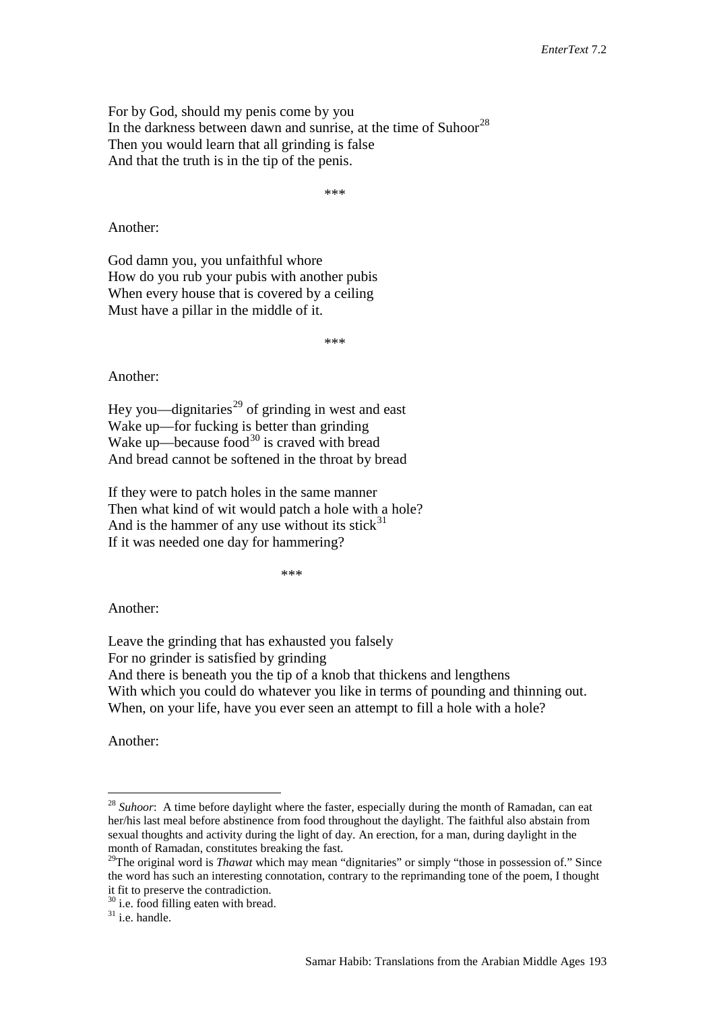For by God, should my penis come by you In the darkness between dawn and sunrise, at the time of Suhoor<sup>[28](#page-20-0)</sup> Then you would learn that all grinding is false And that the truth is in the tip of the penis.

\*\*\*

Another:

God damn you, you unfaithful whore How do you rub your pubis with another pubis When every house that is covered by a ceiling Must have a pillar in the middle of it.

\*\*\*

Another:

Hey you—dignitaries<sup>[29](#page-20-1)</sup> of grinding in west and east Wake up—for fucking is better than grinding Wake up—because food<sup>[30](#page-20-2)</sup> is craved with bread And bread cannot be softened in the throat by bread

If they were to patch holes in the same manner Then what kind of wit would patch a hole with a hole? And is the hammer of any use without its stick $31$ If it was needed one day for hammering?

\*\*\*

Another:

Leave the grinding that has exhausted you falsely For no grinder is satisfied by grinding And there is beneath you the tip of a knob that thickens and lengthens With which you could do whatever you like in terms of pounding and thinning out. When, on your life, have you ever seen an attempt to fill a hole with a hole?

Another:

<span id="page-20-0"></span><sup>&</sup>lt;sup>28</sup> Suhoor: A time before daylight where the faster, especially during the month of Ramadan, can eat her/his last meal before abstinence from food throughout the daylight. The faithful also abstain from sexual thoughts and activity during the light of day. An erection, for a man, during daylight in the month of Ramadan, constitutes breaking the fast.

<span id="page-20-1"></span><sup>&</sup>lt;sup>29</sup>The original word is *Thawat* which may mean "dignitaries" or simply "those in possession of." Since the word has such an interesting connotation, contrary to the reprimanding tone of the poem, I thought it fit to preserve the contradiction.

<span id="page-20-3"></span><span id="page-20-2"></span> $30$  i.e. food filling eaten with bread.<br> $31$  i.e. handle.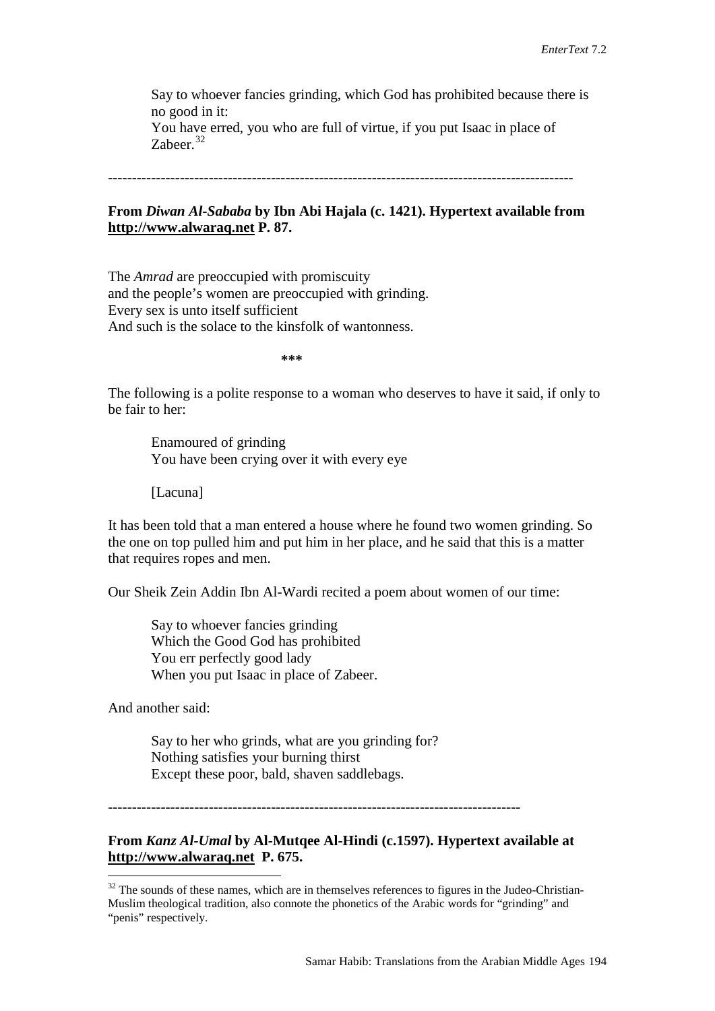Say to whoever fancies grinding, which God has prohibited because there is no good in it:

You have erred, you who are full of virtue, if you put Isaac in place of Zabeer.<sup>[32](#page-21-0)</sup>

-------------------------------------------------------------------------------------------------

#### **From** *Diwan Al-Sababa* **by Ibn Abi Hajala (c. 1421). Hypertext available from http://www.alwaraq.net P. 87.**

The *Amrad* are preoccupied with promiscuity and the people's women are preoccupied with grinding. Every sex is unto itself sufficient And such is the solace to the kinsfolk of wantonness.

**\*\*\***

The following is a polite response to a woman who deserves to have it said, if only to be fair to her:

Enamoured of grinding You have been crying over it with every eye

[Lacuna]

It has been told that a man entered a house where he found two women grinding. So the one on top pulled him and put him in her place, and he said that this is a matter that requires ropes and men.

Our Sheik Zein Addin Ibn Al-Wardi recited a poem about women of our time:

Say to whoever fancies grinding Which the Good God has prohibited You err perfectly good lady When you put Isaac in place of Zabeer.

And another said:

Say to her who grinds, what are you grinding for? Nothing satisfies your burning thirst Except these poor, bald, shaven saddlebags.

--------------------------------------------------------------------------------------

**From** *Kanz Al-Umal* **by Al-Mutqee Al-Hindi (c.1597). Hypertext available at [http://www.alwaraq.net](http://www.alwaraq.com/) P. 675.**

<span id="page-21-0"></span> $32$  The sounds of these names, which are in themselves references to figures in the Judeo-Christian-Muslim theological tradition, also connote the phonetics of the Arabic words for "grinding" and "penis" respectively.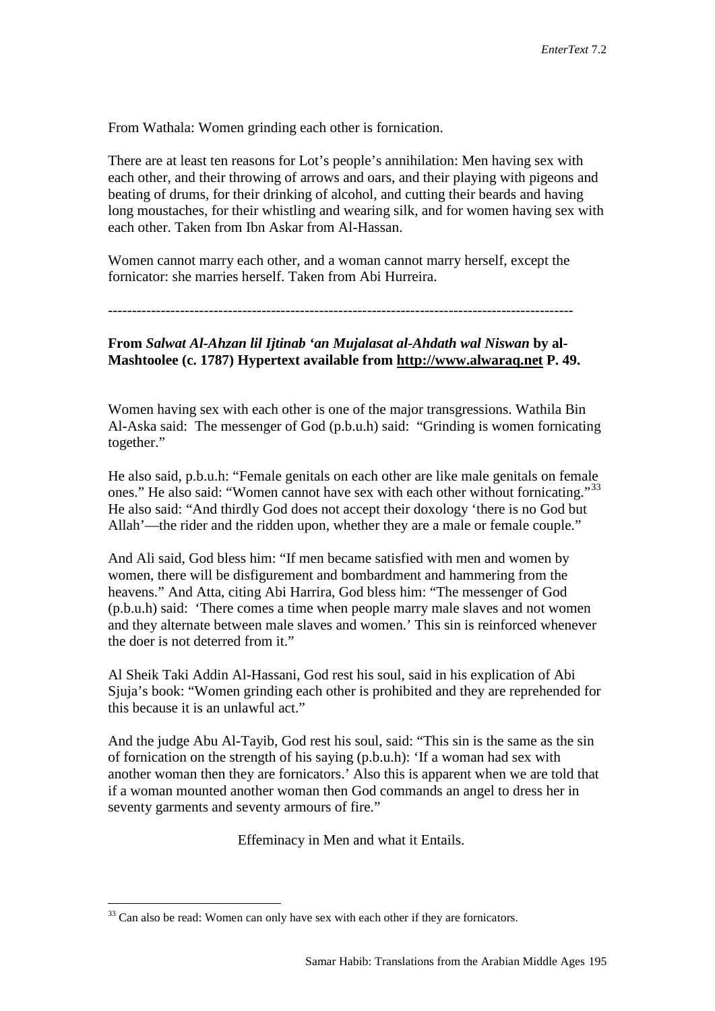From Wathala: Women grinding each other is fornication.

There are at least ten reasons for Lot's people's annihilation: Men having sex with each other, and their throwing of arrows and oars, and their playing with pigeons and beating of drums, for their drinking of alcohol, and cutting their beards and having long moustaches, for their whistling and wearing silk, and for women having sex with each other. Taken from Ibn Askar from Al-Hassan.

Women cannot marry each other, and a woman cannot marry herself, except the fornicator: she marries herself. Taken from Abi Hurreira.

-------------------------------------------------------------------------------------------------

**From** *Salwat Al-Ahzan lil Ijtinab 'an Mujalasat al-Ahdath wal Niswan* **by al-Mashtoolee (c. 1787) Hypertext available from [http://www.alwaraq.net](http://www.alwaraq.net/) P. 49.** 

Women having sex with each other is one of the major transgressions. Wathila Bin Al-Aska said: The messenger of God (p.b.u.h) said: "Grinding is women fornicating together."

He also said, p.b.u.h: "Female genitals on each other are like male genitals on female ones." He also said: "Women cannot have sex with each other without fornicating."<sup>[33](#page-22-0)</sup> He also said: "And thirdly God does not accept their doxology 'there is no God but Allah'—the rider and the ridden upon, whether they are a male or female couple."

And Ali said, God bless him: "If men became satisfied with men and women by women, there will be disfigurement and bombardment and hammering from the heavens." And Atta, citing Abi Harrira, God bless him: "The messenger of God (p.b.u.h) said: 'There comes a time when people marry male slaves and not women and they alternate between male slaves and women.' This sin is reinforced whenever the doer is not deterred from it."

Al Sheik Taki Addin Al-Hassani, God rest his soul, said in his explication of Abi Sjuja's book: "Women grinding each other is prohibited and they are reprehended for this because it is an unlawful act."

And the judge Abu Al-Tayib, God rest his soul, said: "This sin is the same as the sin of fornication on the strength of his saying (p.b.u.h): 'If a woman had sex with another woman then they are fornicators.' Also this is apparent when we are told that if a woman mounted another woman then God commands an angel to dress her in seventy garments and seventy armours of fire."

Effeminacy in Men and what it Entails.

<span id="page-22-0"></span> $33$  Can also be read: Women can only have sex with each other if they are fornicators.